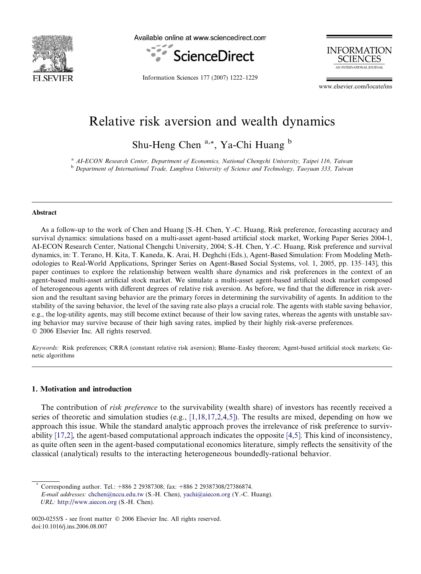

Available online at www.sciencedirect.com



**INFORMATION SCIENCES** AN INTERNATIONAL IOURNAL

Information Sciences 177 (2007) 1222–1229

www.elsevier.com/locate/ins

## Relative risk aversion and wealth dynamics

Shu-Heng Chen  $a_{\alpha*}$ , Ya-Chi Huang b

<sup>a</sup> AI-ECON Research Center, Department of Economics, National Chengchi University, Taipei 116, Taiwan <sup>b</sup> Department of International Trade, Lunghwa University of Science and Technology, Taoyuan 333, Taiwan

#### Abstract

As a follow-up to the work of Chen and Huang [S.-H. Chen, Y.-C. Huang, Risk preference, forecasting accuracy and survival dynamics: simulations based on a multi-asset agent-based artificial stock market, Working Paper Series 2004-1, AI-ECON Research Center, National Chengchi University, 2004; S.-H. Chen, Y.-C. Huang, Risk preference and survival dynamics, in: T. Terano, H. Kita, T. Kaneda, K. Arai, H. Deghchi (Eds.), Agent-Based Simulation: From Modeling Methodologies to Real-World Applications, Springer Series on Agent-Based Social Systems, vol. 1, 2005, pp. 135–143], this paper continues to explore the relationship between wealth share dynamics and risk preferences in the context of an agent-based multi-asset artificial stock market. We simulate a multi-asset agent-based artificial stock market composed of heterogeneous agents with different degrees of relative risk aversion. As before, we find that the difference in risk aversion and the resultant saving behavior are the primary forces in determining the survivability of agents. In addition to the stability of the saving behavior, the level of the saving rate also plays a crucial role. The agents with stable saving behavior, e.g., the log-utility agents, may still become extinct because of their low saving rates, whereas the agents with unstable saving behavior may survive because of their high saving rates, implied by their highly risk-averse preferences. © 2006 Elsevier Inc. All rights reserved.

Keywords: Risk preferences; CRRA (constant relative risk aversion); Blume–Easley theorem; Agent-based artificial stock markets; Genetic algorithms

#### 1. Motivation and introduction

The contribution of *risk preference* to the survivability (wealth share) of investors has recently received a series of theoretic and simulation studies (e.g.,  $[1,18,17,2,4,5]$ ). The results are mixed, depending on how we approach this issue. While the standard analytic approach proves the irrelevance of risk preference to survivability [\[17,2\],](#page--1-0) the agent-based computational approach indicates the opposite [\[4,5\]](#page--1-0). This kind of inconsistency, as quite often seen in the agent-based computational economics literature, simply reflects the sensitivity of the classical (analytical) results to the interacting heterogeneous boundedly-rational behavior.

<sup>\*</sup> Corresponding author. Tel.: +886 2 29387308; fax: +886 2 29387308/27386874. E-mail addresses: [chchen@nccu.edu.tw](mailto:chchen@nccu.edu.tw) (S.-H. Chen), [yachi@aiecon.org](mailto:yachi@aiecon.org) (Y.-C. Huang). URL: <http://www.aiecon.org> (S.-H. Chen).

<sup>0020-0255/\$ -</sup> see front matter © 2006 Elsevier Inc. All rights reserved. doi:10.1016/j.ins.2006.08.007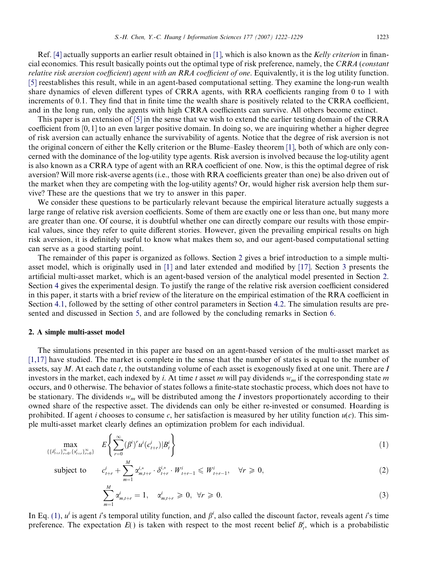Ref. [\[4\]](#page--1-0) actually supports an earlier result obtained in [\[1\]](#page--1-0), which is also known as the Kelly criterion in financial economics. This result basically points out the optimal type of risk preference, namely, the CRRA (constant relative risk aversion coefficient) agent with an RRA coefficient of one. Equivalently, it is the log utility function. [\[5\]](#page--1-0) reestablishes this result, while in an agent-based computational setting. They examine the long-run wealth share dynamics of eleven different types of CRRA agents, with RRA coefficients ranging from 0 to 1 with increments of 0.1. They find that in finite time the wealth share is positively related to the CRRA coefficient, and in the long run, only the agents with high CRRA coefficients can survive. All others become extinct.

This paper is an extension of [\[5\]](#page--1-0) in the sense that we wish to extend the earlier testing domain of the CRRA coefficient from [0, 1] to an even larger positive domain. In doing so, we are inquiring whether a higher degree of risk aversion can actually enhance the survivability of agents. Notice that the degree of risk aversion is not the original concern of either the Kelly criterion or the Blume–Easley theorem [\[1\],](#page--1-0) both of which are only concerned with the dominance of the log-utility type agents. Risk aversion is involved because the log-utility agent is also known as a CRRA type of agent with an RRA coefficient of one. Now, is this the optimal degree of risk aversion? Will more risk-averse agents (i.e., those with RRA coefficients greater than one) be also driven out of the market when they are competing with the log-utility agents? Or, would higher risk aversion help them survive? These are the questions that we try to answer in this paper.

We consider these questions to be particularly relevant because the empirical literature actually suggests a large range of relative risk aversion coefficients. Some of them are exactly one or less than one, but many more are greater than one. Of course, it is doubtful whether one can directly compare our results with those empirical values, since they refer to quite different stories. However, given the prevailing empirical results on high risk aversion, it is definitely useful to know what makes them so, and our agent-based computational setting can serve as a good starting point.

The remainder of this paper is organized as follows. Section 2 gives a brief introduction to a simple multiasset model, which is originally used in [\[1\]](#page--1-0) and later extended and modified by [\[17\]](#page--1-0). Section [3](#page--1-0) presents the artificial multi-asset market, which is an agent-based version of the analytical model presented in Section 2. Section [4](#page--1-0) gives the experimental design. To justify the range of the relative risk aversion coefficient considered in this paper, it starts with a brief review of the literature on the empirical estimation of the RRA coefficient in Section [4.1,](#page--1-0) followed by the setting of other control parameters in Section [4.2](#page--1-0). The simulation results are presented and discussed in Section [5](#page--1-0), and are followed by the concluding remarks in Section [6.](#page--1-0)

### 2. A simple multi-asset model

The simulations presented in this paper are based on an agent-based version of the multi-asset market as [\[1,17\]](#page--1-0) have studied. The market is complete in the sense that the number of states is equal to the number of assets, say  $M$ . At each date t, the outstanding volume of each asset is exogenously fixed at one unit. There are  $I$ investors in the market, each indexed by i. At time t asset m will pay dividends  $w_m$  if the corresponding state m occurs, and 0 otherwise. The behavior of states follows a finite-state stochastic process, which does not have to be stationary. The dividends  $w_m$  will be distributed among the I investors proportionately according to their owned share of the respective asset. The dividends can only be either re-invested or consumed. Hoarding is prohibited. If agent i chooses to consume c, her satisfaction is measured by her utility function  $u(c)$ . This simple multi-asset market clearly defines an optimization problem for each individual.

$$
\max_{\{\{\delta_{t+r}^i\}_{r=0}^{\infty},\{\alpha_{t+r}^i\}_{r=0}^{\infty}\}} E\left\{\sum_{r=0}^{\infty}(\beta^i)^r u^i(c_{t+r}^i)|B_t^i\right\} \tag{1}
$$

subject to

$$
c_{t+r}^i + \sum_{m=1}^M \alpha_{m,t+r}^{i,*} \cdot \delta_{t+r}^{i,*} \cdot W_{t+r-1}^i \le W_{t+r-1}^i, \quad \forall r \ge 0,
$$
\n
$$
(2)
$$

$$
\sum_{m=1}^{M} \alpha_{m,t+r}^{i} = 1, \quad \alpha_{m,t+r}^{i} \geq 0, \ \forall r \geq 0.
$$
 (3)

In Eq. (1),  $u^i$  is agent i's temporal utility function, and  $\beta^i$ , also called the discount factor, reveals agent i's time preference. The expectation  $E()$  is taken with respect to the most recent belief  $B_t^i$ , which is a probabilistic